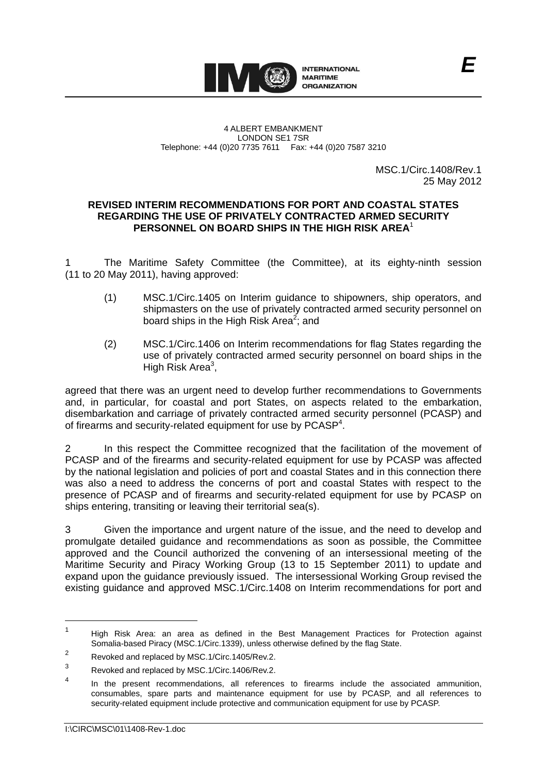

MSC.1/Circ.1408/Rev.1 25 May 2012

## **REVISED INTERIM RECOMMENDATIONS FOR PORT AND COASTAL STATES REGARDING THE USE OF PRIVATELY CONTRACTED ARMED SECURITY PERSONNEL ON BOARD SHIPS IN THE HIGH RISK AREA**<sup>1</sup>

The Maritime Safety Committee (the Committee), at its eighty-ninth session (11 to 20 May 2011), having approved:

- (1) MSC.1/Circ.1405 on Interim guidance to shipowners, ship operators, and shipmasters on the use of privately contracted armed security personnel on board ships in the High Risk Area<sup>2</sup>; and
- (2) MSC.1/Circ.1406 on Interim recommendations for flag States regarding the use of privately contracted armed security personnel on board ships in the High Risk Area $3$ ,

agreed that there was an urgent need to develop further recommendations to Governments and, in particular, for coastal and port States, on aspects related to the embarkation, disembarkation and carriage of privately contracted armed security personnel (PCASP) and of firearms and security-related equipment for use by PCASP<sup>4</sup>.

2 In this respect the Committee recognized that the facilitation of the movement of PCASP and of the firearms and security-related equipment for use by PCASP was affected by the national legislation and policies of port and coastal States and in this connection there was also a need to address the concerns of port and coastal States with respect to the presence of PCASP and of firearms and security-related equipment for use by PCASP on ships entering, transiting or leaving their territorial sea(s).

3 Given the importance and urgent nature of the issue, and the need to develop and promulgate detailed guidance and recommendations as soon as possible, the Committee approved and the Council authorized the convening of an intersessional meeting of the Maritime Security and Piracy Working Group (13 to 15 September 2011) to update and expand upon the guidance previously issued. The intersessional Working Group revised the existing guidance and approved MSC.1/Circ.1408 on Interim recommendations for port and

1

<sup>1</sup> High Risk Area: an area as defined in the Best Management Practices for Protection against Somalia-based Piracy (MSC.1/Circ.1339), unless otherwise defined by the flag State.

 $\overline{2}$ Revoked and replaced by MSC.1/Circ.1405/Rev.2.

<sup>3</sup> Revoked and replaced by MSC.1/Circ.1406/Rev.2.

<sup>4</sup> In the present recommendations, all references to firearms include the associated ammunition, consumables, spare parts and maintenance equipment for use by PCASP, and all references to security-related equipment include protective and communication equipment for use by PCASP.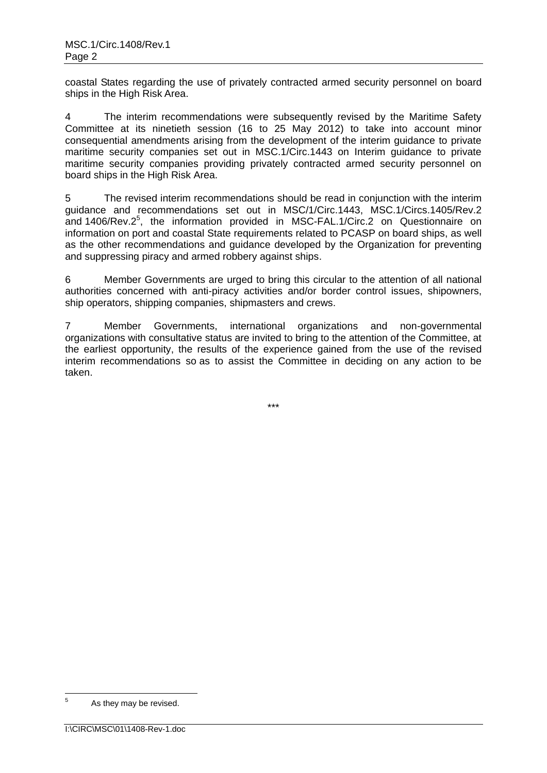coastal States regarding the use of privately contracted armed security personnel on board ships in the High Risk Area.

4 The interim recommendations were subsequently revised by the Maritime Safety Committee at its ninetieth session (16 to 25 May 2012) to take into account minor consequential amendments arising from the development of the interim guidance to private maritime security companies set out in MSC.1/Circ.1443 on Interim guidance to private maritime security companies providing privately contracted armed security personnel on board ships in the High Risk Area.

5 The revised interim recommendations should be read in conjunction with the interim guidance and recommendations set out in MSC/1/Circ.1443, MSC.1/Circs.1405/Rev.2 and 1406/Rev.2 5 , the information provided in MSC-FAL.1/Circ.2 on Questionnaire on information on port and coastal State requirements related to PCASP on board ships, as well as the other recommendations and guidance developed by the Organization for preventing and suppressing piracy and armed robbery against ships.

6 Member Governments are urged to bring this circular to the attention of all national authorities concerned with anti-piracy activities and/or border control issues, shipowners, ship operators, shipping companies, shipmasters and crews.

7 Member Governments, international organizations and non-governmental organizations with consultative status are invited to bring to the attention of the Committee, at the earliest opportunity, the results of the experience gained from the use of the revised interim recommendations so as to assist the Committee in deciding on any action to be taken.

\*\*\*

 $\overline{5}$ As they may be revised.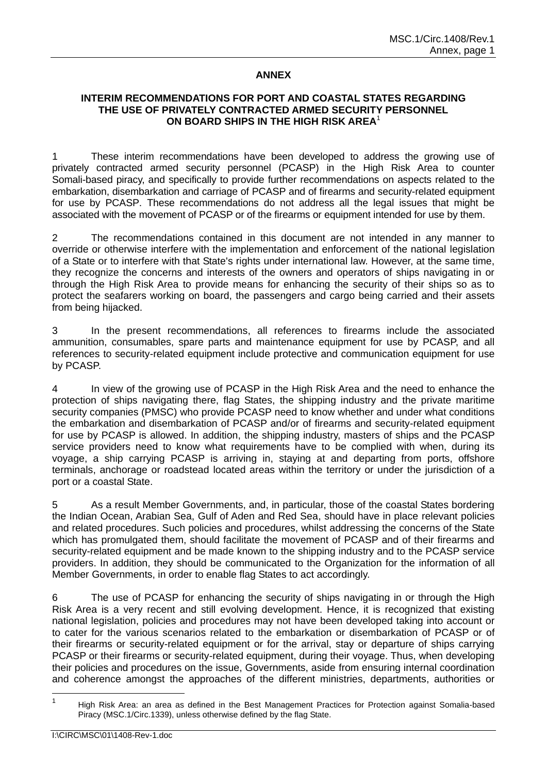# **ANNEX**

# **INTERIM RECOMMENDATIONS FOR PORT AND COASTAL STATES REGARDING THE USE OF PRIVATELY CONTRACTED ARMED SECURITY PERSONNEL ON BOARD SHIPS IN THE HIGH RISK AREA**<sup>1</sup>

1 These interim recommendations have been developed to address the growing use of privately contracted armed security personnel (PCASP) in the High Risk Area to counter Somali-based piracy, and specifically to provide further recommendations on aspects related to the embarkation, disembarkation and carriage of PCASP and of firearms and security-related equipment for use by PCASP. These recommendations do not address all the legal issues that might be associated with the movement of PCASP or of the firearms or equipment intended for use by them.

2 The recommendations contained in this document are not intended in any manner to override or otherwise interfere with the implementation and enforcement of the national legislation of a State or to interfere with that State's rights under international law. However, at the same time, they recognize the concerns and interests of the owners and operators of ships navigating in or through the High Risk Area to provide means for enhancing the security of their ships so as to protect the seafarers working on board, the passengers and cargo being carried and their assets from being hijacked.

3 In the present recommendations, all references to firearms include the associated ammunition, consumables, spare parts and maintenance equipment for use by PCASP, and all references to security-related equipment include protective and communication equipment for use by PCASP.

4 In view of the growing use of PCASP in the High Risk Area and the need to enhance the protection of ships navigating there, flag States, the shipping industry and the private maritime security companies (PMSC) who provide PCASP need to know whether and under what conditions the embarkation and disembarkation of PCASP and/or of firearms and security-related equipment for use by PCASP is allowed. In addition, the shipping industry, masters of ships and the PCASP service providers need to know what requirements have to be complied with when, during its voyage, a ship carrying PCASP is arriving in, staying at and departing from ports, offshore terminals, anchorage or roadstead located areas within the territory or under the jurisdiction of a port or a coastal State.

5 As a result Member Governments, and, in particular, those of the coastal States bordering the Indian Ocean, Arabian Sea, Gulf of Aden and Red Sea, should have in place relevant policies and related procedures. Such policies and procedures, whilst addressing the concerns of the State which has promulgated them, should facilitate the movement of PCASP and of their firearms and security-related equipment and be made known to the shipping industry and to the PCASP service providers. In addition, they should be communicated to the Organization for the information of all Member Governments, in order to enable flag States to act accordingly.

6 The use of PCASP for enhancing the security of ships navigating in or through the High Risk Area is a very recent and still evolving development. Hence, it is recognized that existing national legislation, policies and procedures may not have been developed taking into account or to cater for the various scenarios related to the embarkation or disembarkation of PCASP or of their firearms or security-related equipment or for the arrival, stay or departure of ships carrying PCASP or their firearms or security-related equipment, during their voyage. Thus, when developing their policies and procedures on the issue, Governments, aside from ensuring internal coordination and coherence amongst the approaches of the different ministries, departments, authorities or

 $\frac{1}{1}$  High Risk Area: an area as defined in the Best Management Practices for Protection against Somalia-based Piracy (MSC.1/Circ.1339), unless otherwise defined by the flag State.